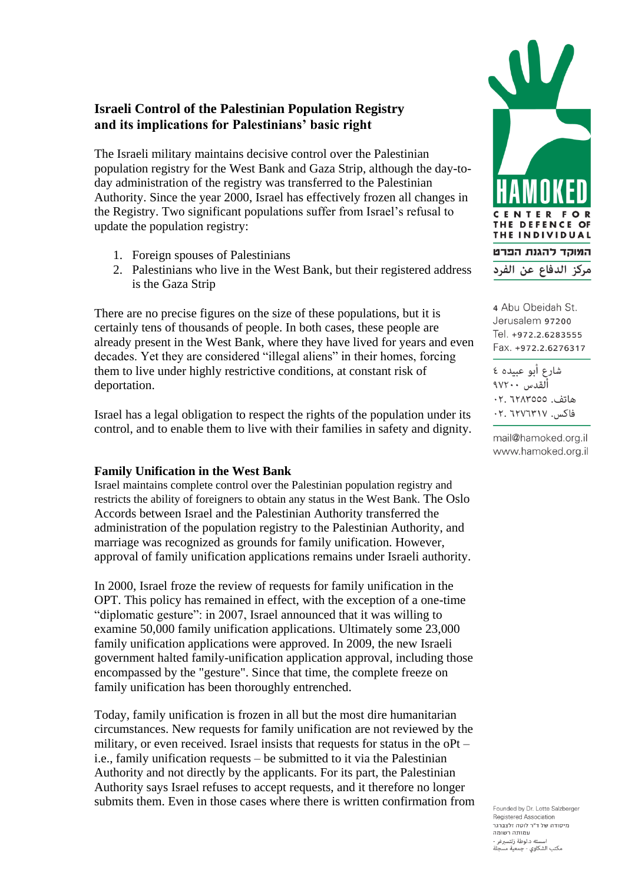## **Israeli Control of the Palestinian Population Registry and its implications for Palestinians' basic right**

The Israeli military maintains decisive control over the Palestinian population registry for the West Bank and Gaza Strip, although the day-today administration of the registry was transferred to the Palestinian Authority. Since the year 2000, Israel has effectively frozen all changes in the Registry. Two significant populations suffer from Israel's refusal to update the population registry:

- 1. Foreign spouses of Palestinians
- 2. Palestinians who live in the West Bank, but their registered address is the Gaza Strip

There are no precise figures on the size of these populations, but it is certainly tens of thousands of people. In both cases, these people are already present in the West Bank, where they have lived for years and even decades. Yet they are considered "illegal aliens" in their homes, forcing them to live under highly restrictive conditions, at constant risk of deportation.

Israel has a legal obligation to respect the rights of the population under its control, and to enable them to live with their families in safety and dignity.

## **Family Unification in the West Bank**

Israel maintains complete control over the Palestinian population registry and restricts the ability of foreigners to obtain any status in the West Bank. The Oslo Accords between Israel and the Palestinian Authority transferred the administration of the population registry to the Palestinian Authority, and marriage was recognized as grounds for family unification. However, approval of family unification applications remains under Israeli authority.

In 2000, Israel froze the review of requests for family unification in the OPT. This policy has remained in effect, with the exception of a one-time "diplomatic gesture": in 2007, Israel announced that it was willing to examine 50,000 family unification applications. Ultimately some 23,000 family unification applications were approved. In 2009, the new Israeli government halted family-unification application approval, including those encompassed by the "gesture". Since that time, the complete freeze on family unification has been thoroughly entrenched.

Today, family unification is frozen in all but the most dire humanitarian circumstances. New requests for family unification are not reviewed by the military, or even received. Israel insists that requests for status in the oPt – i.e., family unification requests – be submitted to it via the Palestinian Authority and not directly by the applicants. For its part, the Palestinian Authority says Israel refuses to accept requests, and it therefore no longer submits them. Even in those cases where there is written confirmation from



4 Abu Obeidah St. Jerusalem 97200 Tel. +972.2.6283555 Fax. +972.2.6276317

شارع أبو عبيده ٤ ألقدس ١٧٢٠٠ هاتف. ٢٢٨٣٥٥٥.٢٠ فاكس. ٢١٣٧٦٣١٧. ٢٠

mail@hamoked.org.il www.hamoked.org.il

Founded by Dr. Lotte Salzberger Registered Association .<br>מיסודה של ד"ר לוטה זלצברגר עמותה רשומה اسسته د.لوطة زلتسبرغر -<br>مكتب الشكاوى - جمعية مسجلة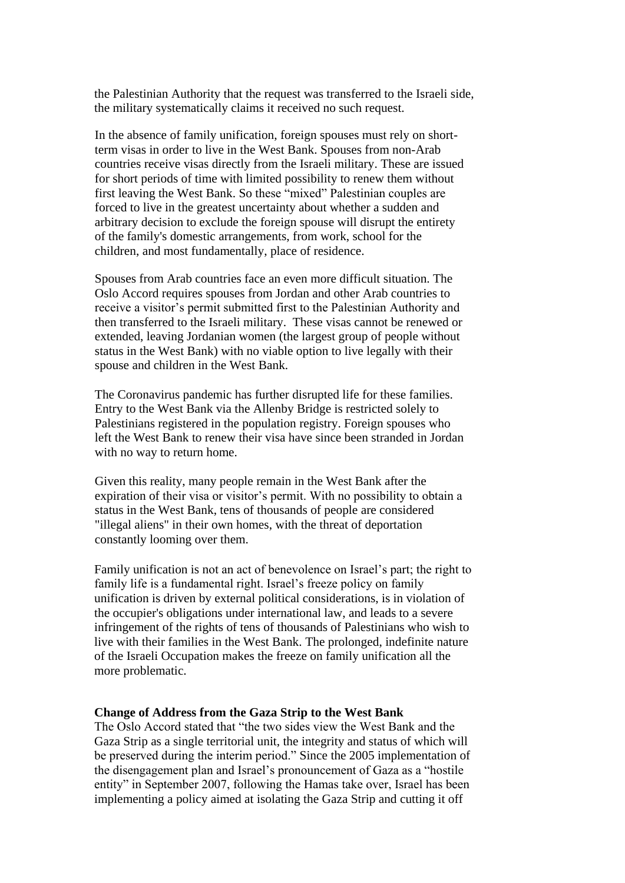the Palestinian Authority that the request was transferred to the Israeli side, the military systematically claims it received no such request.

In the absence of family unification, foreign spouses must rely on shortterm visas in order to live in the West Bank. Spouses from non-Arab countries receive visas directly from the Israeli military. These are issued for short periods of time with limited possibility to renew them without first leaving the West Bank. So these "mixed" Palestinian couples are forced to live in the greatest uncertainty about whether a sudden and arbitrary decision to exclude the foreign spouse will disrupt the entirety of the family's domestic arrangements, from work, school for the children, and most fundamentally, place of residence.

Spouses from Arab countries face an even more difficult situation. The Oslo Accord requires spouses from Jordan and other Arab countries to receive a visitor's permit submitted first to the Palestinian Authority and then transferred to the Israeli military. These visas cannot be renewed or extended, leaving Jordanian women (the largest group of people without status in the West Bank) with no viable option to live legally with their spouse and children in the West Bank.

The Coronavirus pandemic has further disrupted life for these families. Entry to the West Bank via the Allenby Bridge is restricted solely to Palestinians registered in the population registry. Foreign spouses who left the West Bank to renew their visa have since been stranded in Jordan with no way to return home.

Given this reality, many people remain in the West Bank after the expiration of their visa or visitor's permit. With no possibility to obtain a status in the West Bank, tens of thousands of people are considered "illegal aliens" in their own homes, with the threat of deportation constantly looming over them.

Family unification is not an act of benevolence on Israel's part; the right to family life is a fundamental right. Israel's freeze policy on family unification is driven by external political considerations, is in violation of the occupier's obligations under international law, and leads to a severe infringement of the rights of tens of thousands of Palestinians who wish to live with their families in the West Bank. The prolonged, indefinite nature of the Israeli Occupation makes the freeze on family unification all the more problematic.

## **Change of Address from the Gaza Strip to the West Bank**

The Oslo Accord stated that "the two sides view the West Bank and the Gaza Strip as a single territorial unit, the integrity and status of which will be preserved during the interim period." Since the 2005 implementation of the disengagement plan and Israel's pronouncement of Gaza as a "hostile entity" in September 2007, following the Hamas take over, Israel has been implementing a policy aimed at isolating the Gaza Strip and cutting it off